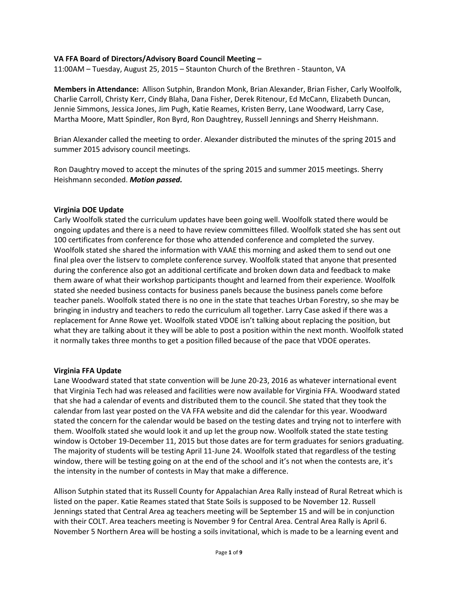# **VA FFA Board of Directors/Advisory Board Council Meeting –**

11:00AM – Tuesday, August 25, 2015 – Staunton Church of the Brethren - Staunton, VA

**Members in Attendance:** Allison Sutphin, Brandon Monk, Brian Alexander, Brian Fisher, Carly Woolfolk, Charlie Carroll, Christy Kerr, Cindy Blaha, Dana Fisher, Derek Ritenour, Ed McCann, Elizabeth Duncan, Jennie Simmons, Jessica Jones, Jim Pugh, Katie Reames, Kristen Berry, Lane Woodward, Larry Case, Martha Moore, Matt Spindler, Ron Byrd, Ron Daughtrey, Russell Jennings and Sherry Heishmann.

Brian Alexander called the meeting to order. Alexander distributed the minutes of the spring 2015 and summer 2015 advisory council meetings.

Ron Daughtry moved to accept the minutes of the spring 2015 and summer 2015 meetings. Sherry Heishmann seconded. *Motion passed.*

#### **Virginia DOE Update**

Carly Woolfolk stated the curriculum updates have been going well. Woolfolk stated there would be ongoing updates and there is a need to have review committees filled. Woolfolk stated she has sent out 100 certificates from conference for those who attended conference and completed the survey. Woolfolk stated she shared the information with VAAE this morning and asked them to send out one final plea over the listserv to complete conference survey. Woolfolk stated that anyone that presented during the conference also got an additional certificate and broken down data and feedback to make them aware of what their workshop participants thought and learned from their experience. Woolfolk stated she needed business contacts for business panels because the business panels come before teacher panels. Woolfolk stated there is no one in the state that teaches Urban Forestry, so she may be bringing in industry and teachers to redo the curriculum all together. Larry Case asked if there was a replacement for Anne Rowe yet. Woolfolk stated VDOE isn't talking about replacing the position, but what they are talking about it they will be able to post a position within the next month. Woolfolk stated it normally takes three months to get a position filled because of the pace that VDOE operates.

#### **Virginia FFA Update**

Lane Woodward stated that state convention will be June 20-23, 2016 as whatever international event that Virginia Tech had was released and facilities were now available for Virginia FFA. Woodward stated that she had a calendar of events and distributed them to the council. She stated that they took the calendar from last year posted on the VA FFA website and did the calendar for this year. Woodward stated the concern for the calendar would be based on the testing dates and trying not to interfere with them. Woolfolk stated she would look it and up let the group now. Woolfolk stated the state testing window is October 19-December 11, 2015 but those dates are for term graduates for seniors graduating. The majority of students will be testing April 11-June 24. Woolfolk stated that regardless of the testing window, there will be testing going on at the end of the school and it's not when the contests are, it's the intensity in the number of contests in May that make a difference.

Allison Sutphin stated that its Russell County for Appalachian Area Rally instead of Rural Retreat which is listed on the paper. Katie Reames stated that State Soils is supposed to be November 12. Russell Jennings stated that Central Area ag teachers meeting will be September 15 and will be in conjunction with their COLT. Area teachers meeting is November 9 for Central Area. Central Area Rally is April 6. November 5 Northern Area will be hosting a soils invitational, which is made to be a learning event and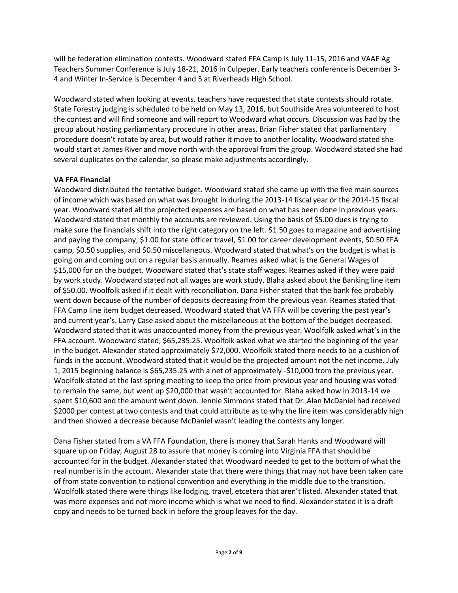will be federation elimination contests. Woodward stated FFA Camp is July 11-15, 2016 and VAAE Ag Teachers Summer Conference is July 18-21, 2016 in Culpeper. Early teachers conference is December 3- 4 and Winter In-Service is December 4 and 5 at Riverheads High School.

Woodward stated when looking at events, teachers have requested that state contests should rotate. State Forestry judging is scheduled to be held on May 13, 2016, but Southside Area volunteered to host the contest and will find someone and will report to Woodward what occurs. Discussion was had by the group about hosting parliamentary procedure in other areas. Brian Fisher stated that parliamentary procedure doesn't rotate by area, but would rather it move to another locality. Woodward stated she would start at James River and move north with the approval from the group. Woodward stated she had several duplicates on the calendar, so please make adjustments accordingly.

# **VA FFA Financial**

Woodward distributed the tentative budget. Woodward stated she came up with the five main sources of income which was based on what was brought in during the 2013-14 fiscal year or the 2014-15 fiscal year. Woodward stated all the projected expenses are based on what has been done in previous years. Woodward stated that monthly the accounts are reviewed. Using the basis of \$5.00 dues is trying to make sure the financials shift into the right category on the left. \$1.50 goes to magazine and advertising and paying the company, \$1.00 for state officer travel, \$1.00 for career development events, \$0.50 FFA camp, \$0.50 supplies, and \$0.50 miscellaneous. Woodward stated that what's on the budget is what is going on and coming out on a regular basis annually. Reames asked what is the General Wages of \$15,000 for on the budget. Woodward stated that's state staff wages. Reames asked if they were paid by work study. Woodward stated not all wages are work study. Blaha asked about the Banking line item of \$50.00. Woolfolk asked if it dealt with reconciliation. Dana Fisher stated that the bank fee probably went down because of the number of deposits decreasing from the previous year. Reames stated that FFA Camp line item budget decreased. Woodward stated that VA FFA will be covering the past year's and current year's. Larry Case asked about the miscellaneous at the bottom of the budget decreased. Woodward stated that it was unaccounted money from the previous year. Woolfolk asked what's in the FFA account. Woodward stated, \$65,235.25. Woolfolk asked what we started the beginning of the year in the budget. Alexander stated approximately \$72,000. Woolfolk stated there needs to be a cushion of funds in the account. Woodward stated that it would be the projected amount not the net income. July 1, 2015 beginning balance is \$65,235.25 with a net of approximately -\$10,000 from the previous year. Woolfolk stated at the last spring meeting to keep the price from previous year and housing was voted to remain the same, but went up \$20,000 that wasn't accounted for. Blaha asked how in 2013-14 we spent \$10,600 and the amount went down. Jennie Simmons stated that Dr. Alan McDaniel had received \$2000 per contest at two contests and that could attribute as to why the line item was considerably high and then showed a decrease because McDaniel wasn't leading the contests any longer.

Dana Fisher stated from a VA FFA Foundation, there is money that Sarah Hanks and Woodward will square up on Friday, August 28 to assure that money is coming into Virginia FFA that should be accounted for in the budget. Alexander stated that Woodward needed to get to the bottom of what the real number is in the account. Alexander state that there were things that may not have been taken care of from state convention to national convention and everything in the middle due to the transition. Woolfolk stated there were things like lodging, travel, etcetera that aren't listed. Alexander stated that was more expenses and not more income which is what we need to find. Alexander stated it is a draft copy and needs to be turned back in before the group leaves for the day.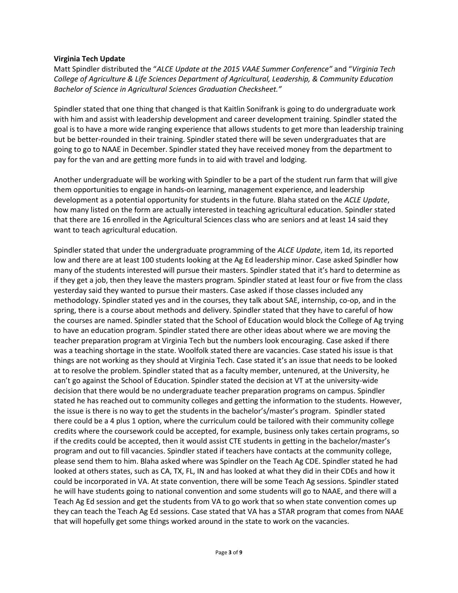# **Virginia Tech Update**

Matt Spindler distributed the "*ALCE Update at the 2015 VAAE Summer Conference"* and "*Virginia Tech College of Agriculture & Life Sciences Department of Agricultural, Leadership, & Community Education Bachelor of Science in Agricultural Sciences Graduation Checksheet."* 

Spindler stated that one thing that changed is that Kaitlin Sonifrank is going to do undergraduate work with him and assist with leadership development and career development training. Spindler stated the goal is to have a more wide ranging experience that allows students to get more than leadership training but be better-rounded in their training. Spindler stated there will be seven undergraduates that are going to go to NAAE in December. Spindler stated they have received money from the department to pay for the van and are getting more funds in to aid with travel and lodging.

Another undergraduate will be working with Spindler to be a part of the student run farm that will give them opportunities to engage in hands-on learning, management experience, and leadership development as a potential opportunity for students in the future. Blaha stated on the *ACLE Update*, how many listed on the form are actually interested in teaching agricultural education. Spindler stated that there are 16 enrolled in the Agricultural Sciences class who are seniors and at least 14 said they want to teach agricultural education.

Spindler stated that under the undergraduate programming of the *ALCE Update*, item 1d, its reported low and there are at least 100 students looking at the Ag Ed leadership minor. Case asked Spindler how many of the students interested will pursue their masters. Spindler stated that it's hard to determine as if they get a job, then they leave the masters program. Spindler stated at least four or five from the class yesterday said they wanted to pursue their masters. Case asked if those classes included any methodology. Spindler stated yes and in the courses, they talk about SAE, internship, co-op, and in the spring, there is a course about methods and delivery. Spindler stated that they have to careful of how the courses are named. Spindler stated that the School of Education would block the College of Ag trying to have an education program. Spindler stated there are other ideas about where we are moving the teacher preparation program at Virginia Tech but the numbers look encouraging. Case asked if there was a teaching shortage in the state. Woolfolk stated there are vacancies. Case stated his issue is that things are not working as they should at Virginia Tech. Case stated it's an issue that needs to be looked at to resolve the problem. Spindler stated that as a faculty member, untenured, at the University, he can't go against the School of Education. Spindler stated the decision at VT at the university-wide decision that there would be no undergraduate teacher preparation programs on campus. Spindler stated he has reached out to community colleges and getting the information to the students. However, the issue is there is no way to get the students in the bachelor's/master's program. Spindler stated there could be a 4 plus 1 option, where the curriculum could be tailored with their community college credits where the coursework could be accepted, for example, business only takes certain programs, so if the credits could be accepted, then it would assist CTE students in getting in the bachelor/master's program and out to fill vacancies. Spindler stated if teachers have contacts at the community college, please send them to him. Blaha asked where was Spindler on the Teach Ag CDE. Spindler stated he had looked at others states, such as CA, TX, FL, IN and has looked at what they did in their CDEs and how it could be incorporated in VA. At state convention, there will be some Teach Ag sessions. Spindler stated he will have students going to national convention and some students will go to NAAE, and there will a Teach Ag Ed session and get the students from VA to go work that so when state convention comes up they can teach the Teach Ag Ed sessions. Case stated that VA has a STAR program that comes from NAAE that will hopefully get some things worked around in the state to work on the vacancies.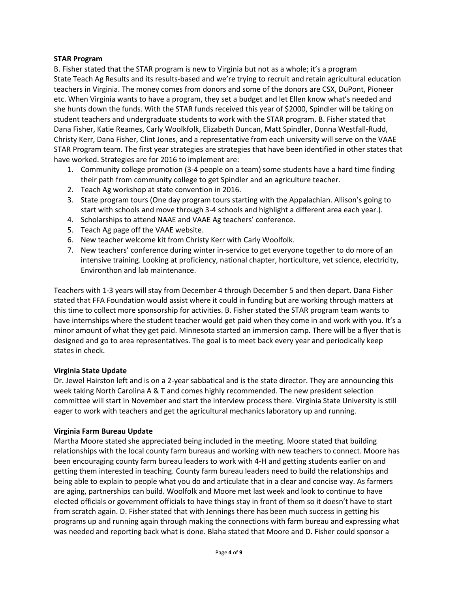# **STAR Program**

B. Fisher stated that the STAR program is new to Virginia but not as a whole; it's a program State Teach Ag Results and its results-based and we're trying to recruit and retain agricultural education teachers in Virginia. The money comes from donors and some of the donors are CSX, DuPont, Pioneer etc. When Virginia wants to have a program, they set a budget and let Ellen know what's needed and she hunts down the funds. With the STAR funds received this year of \$2000, Spindler will be taking on student teachers and undergraduate students to work with the STAR program. B. Fisher stated that Dana Fisher, Katie Reames, Carly Woolkfolk, Elizabeth Duncan, Matt Spindler, Donna Westfall-Rudd, Christy Kerr, Dana Fisher, Clint Jones, and a representative from each university will serve on the VAAE STAR Program team. The first year strategies are strategies that have been identified in other states that have worked. Strategies are for 2016 to implement are:

- 1. Community college promotion (3-4 people on a team) some students have a hard time finding their path from community college to get Spindler and an agriculture teacher.
- 2. Teach Ag workshop at state convention in 2016.
- 3. State program tours (One day program tours starting with the Appalachian. Allison's going to start with schools and move through 3-4 schools and highlight a different area each year.).
- 4. Scholarships to attend NAAE and VAAE Ag teachers' conference.
- 5. Teach Ag page off the VAAE website.
- 6. New teacher welcome kit from Christy Kerr with Carly Woolfolk.
- 7. New teachers' conference during winter in-service to get everyone together to do more of an intensive training. Looking at proficiency, national chapter, horticulture, vet science, electricity, Environthon and lab maintenance.

Teachers with 1-3 years will stay from December 4 through December 5 and then depart. Dana Fisher stated that FFA Foundation would assist where it could in funding but are working through matters at this time to collect more sponsorship for activities. B. Fisher stated the STAR program team wants to have internships where the student teacher would get paid when they come in and work with you. It's a minor amount of what they get paid. Minnesota started an immersion camp. There will be a flyer that is designed and go to area representatives. The goal is to meet back every year and periodically keep states in check.

# **Virginia State Update**

Dr. Jewel Hairston left and is on a 2-year sabbatical and is the state director. They are announcing this week taking North Carolina A & T and comes highly recommended. The new president selection committee will start in November and start the interview process there. Virginia State University is still eager to work with teachers and get the agricultural mechanics laboratory up and running.

# **Virginia Farm Bureau Update**

Martha Moore stated she appreciated being included in the meeting. Moore stated that building relationships with the local county farm bureaus and working with new teachers to connect. Moore has been encouraging county farm bureau leaders to work with 4-H and getting students earlier on and getting them interested in teaching. County farm bureau leaders need to build the relationships and being able to explain to people what you do and articulate that in a clear and concise way. As farmers are aging, partnerships can build. Woolfolk and Moore met last week and look to continue to have elected officials or government officials to have things stay in front of them so it doesn't have to start from scratch again. D. Fisher stated that with Jennings there has been much success in getting his programs up and running again through making the connections with farm bureau and expressing what was needed and reporting back what is done. Blaha stated that Moore and D. Fisher could sponsor a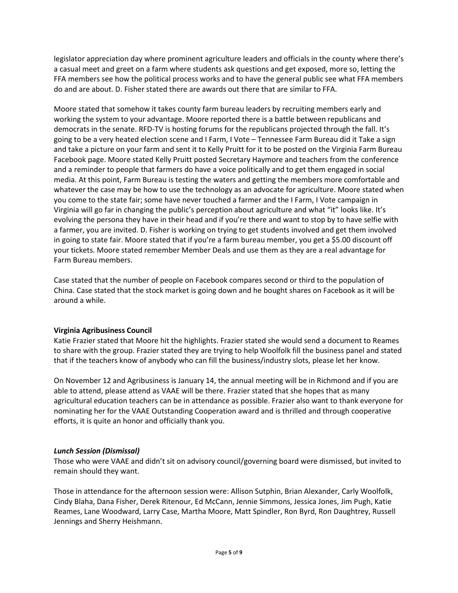legislator appreciation day where prominent agriculture leaders and officials in the county where there's a casual meet and greet on a farm where students ask questions and get exposed, more so, letting the FFA members see how the political process works and to have the general public see what FFA members do and are about. D. Fisher stated there are awards out there that are similar to FFA.

Moore stated that somehow it takes county farm bureau leaders by recruiting members early and working the system to your advantage. Moore reported there is a battle between republicans and democrats in the senate. RFD-TV is hosting forums for the republicans projected through the fall. It's going to be a very heated election scene and I Farm, I Vote – Tennessee Farm Bureau did it Take a sign and take a picture on your farm and sent it to Kelly Pruitt for it to be posted on the Virginia Farm Bureau Facebook page. Moore stated Kelly Pruitt posted Secretary Haymore and teachers from the conference and a reminder to people that farmers do have a voice politically and to get them engaged in social media. At this point, Farm Bureau is testing the waters and getting the members more comfortable and whatever the case may be how to use the technology as an advocate for agriculture. Moore stated when you come to the state fair; some have never touched a farmer and the I Farm, I Vote campaign in Virginia will go far in changing the public's perception about agriculture and what "it" looks like. It's evolving the persona they have in their head and if you're there and want to stop by to have selfie with a farmer, you are invited. D. Fisher is working on trying to get students involved and get them involved in going to state fair. Moore stated that if you're a farm bureau member, you get a \$5.00 discount off your tickets. Moore stated remember Member Deals and use them as they are a real advantage for Farm Bureau members.

Case stated that the number of people on Facebook compares second or third to the population of China. Case stated that the stock market is going down and he bought shares on Facebook as it will be around a while.

# **Virginia Agribusiness Council**

Katie Frazier stated that Moore hit the highlights. Frazier stated she would send a document to Reames to share with the group. Frazier stated they are trying to help Woolfolk fill the business panel and stated that if the teachers know of anybody who can fill the business/industry slots, please let her know.

On November 12 and Agribusiness is January 14, the annual meeting will be in Richmond and if you are able to attend, please attend as VAAE will be there. Frazier stated that she hopes that as many agricultural education teachers can be in attendance as possible. Frazier also want to thank everyone for nominating her for the VAAE Outstanding Cooperation award and is thrilled and through cooperative efforts, it is quite an honor and officially thank you.

# *Lunch Session (Dismissal)*

Those who were VAAE and didn't sit on advisory council/governing board were dismissed, but invited to remain should they want.

Those in attendance for the afternoon session were: Allison Sutphin, Brian Alexander, Carly Woolfolk, Cindy Blaha, Dana Fisher, Derek Ritenour, Ed McCann, Jennie Simmons, Jessica Jones, Jim Pugh, Katie Reames, Lane Woodward, Larry Case, Martha Moore, Matt Spindler, Ron Byrd, Ron Daughtrey, Russell Jennings and Sherry Heishmann.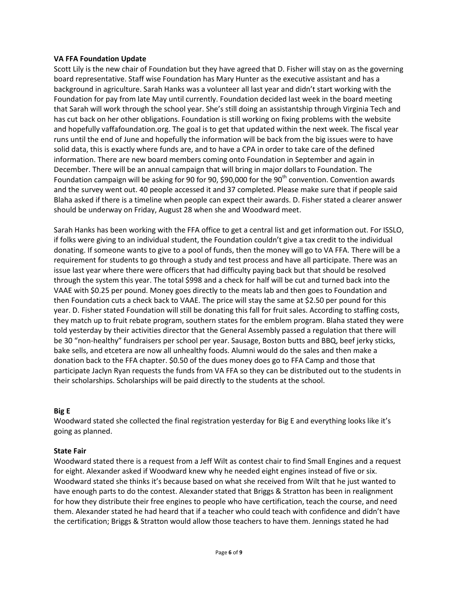#### **VA FFA Foundation Update**

Scott Lily is the new chair of Foundation but they have agreed that D. Fisher will stay on as the governing board representative. Staff wise Foundation has Mary Hunter as the executive assistant and has a background in agriculture. Sarah Hanks was a volunteer all last year and didn't start working with the Foundation for pay from late May until currently. Foundation decided last week in the board meeting that Sarah will work through the school year. She's still doing an assistantship through Virginia Tech and has cut back on her other obligations. Foundation is still working on fixing problems with the website and hopefully vaffafoundation.org. The goal is to get that updated within the next week. The fiscal year runs until the end of June and hopefully the information will be back from the big issues were to have solid data, this is exactly where funds are, and to have a CPA in order to take care of the defined information. There are new board members coming onto Foundation in September and again in December. There will be an annual campaign that will bring in major dollars to Foundation. The Foundation campaign will be asking for 90 for 90, \$90,000 for the 90<sup>th</sup> convention. Convention awards and the survey went out. 40 people accessed it and 37 completed. Please make sure that if people said Blaha asked if there is a timeline when people can expect their awards. D. Fisher stated a clearer answer should be underway on Friday, August 28 when she and Woodward meet.

Sarah Hanks has been working with the FFA office to get a central list and get information out. For ISSLO, if folks were giving to an individual student, the Foundation couldn't give a tax credit to the individual donating. If someone wants to give to a pool of funds, then the money will go to VA FFA. There will be a requirement for students to go through a study and test process and have all participate. There was an issue last year where there were officers that had difficulty paying back but that should be resolved through the system this year. The total \$998 and a check for half will be cut and turned back into the VAAE with \$0.25 per pound. Money goes directly to the meats lab and then goes to Foundation and then Foundation cuts a check back to VAAE. The price will stay the same at \$2.50 per pound for this year. D. Fisher stated Foundation will still be donating this fall for fruit sales. According to staffing costs, they match up to fruit rebate program, southern states for the emblem program. Blaha stated they were told yesterday by their activities director that the General Assembly passed a regulation that there will be 30 "non-healthy" fundraisers per school per year. Sausage, Boston butts and BBQ, beef jerky sticks, bake sells, and etcetera are now all unhealthy foods. Alumni would do the sales and then make a donation back to the FFA chapter. \$0.50 of the dues money does go to FFA Camp and those that participate Jaclyn Ryan requests the funds from VA FFA so they can be distributed out to the students in their scholarships. Scholarships will be paid directly to the students at the school.

# **Big E**

Woodward stated she collected the final registration yesterday for Big E and everything looks like it's going as planned.

# **State Fair**

Woodward stated there is a request from a Jeff Wilt as contest chair to find Small Engines and a request for eight. Alexander asked if Woodward knew why he needed eight engines instead of five or six. Woodward stated she thinks it's because based on what she received from Wilt that he just wanted to have enough parts to do the contest. Alexander stated that Briggs & Stratton has been in realignment for how they distribute their free engines to people who have certification, teach the course, and need them. Alexander stated he had heard that if a teacher who could teach with confidence and didn't have the certification; Briggs & Stratton would allow those teachers to have them. Jennings stated he had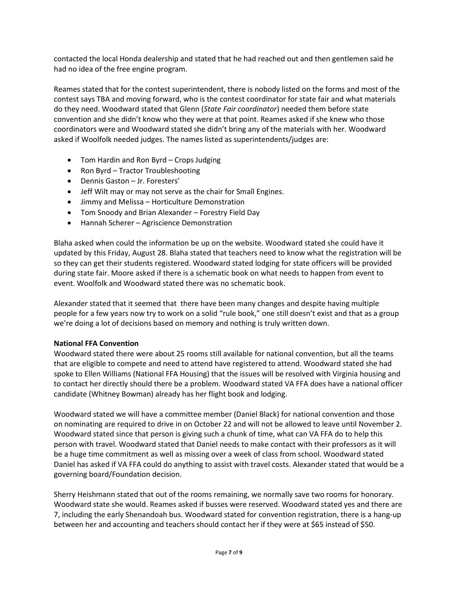contacted the local Honda dealership and stated that he had reached out and then gentlemen said he had no idea of the free engine program.

Reames stated that for the contest superintendent, there is nobody listed on the forms and most of the contest says TBA and moving forward, who is the contest coordinator for state fair and what materials do they need. Woodward stated that Glenn (*State Fair coordinator*) needed them before state convention and she didn't know who they were at that point. Reames asked if she knew who those coordinators were and Woodward stated she didn't bring any of the materials with her. Woodward asked if Woolfolk needed judges. The names listed as superintendents/judges are:

- Tom Hardin and Ron Byrd Crops Judging
- Ron Byrd Tractor Troubleshooting
- Dennis Gaston Jr. Foresters'
- Jeff Wilt may or may not serve as the chair for Small Engines.
- Jimmy and Melissa Horticulture Demonstration
- Tom Snoody and Brian Alexander Forestry Field Day
- Hannah Scherer Agriscience Demonstration

Blaha asked when could the information be up on the website. Woodward stated she could have it updated by this Friday, August 28. Blaha stated that teachers need to know what the registration will be so they can get their students registered. Woodward stated lodging for state officers will be provided during state fair. Moore asked if there is a schematic book on what needs to happen from event to event. Woolfolk and Woodward stated there was no schematic book.

Alexander stated that it seemed that there have been many changes and despite having multiple people for a few years now try to work on a solid "rule book," one still doesn't exist and that as a group we're doing a lot of decisions based on memory and nothing is truly written down.

# **National FFA Convention**

Woodward stated there were about 25 rooms still available for national convention, but all the teams that are eligible to compete and need to attend have registered to attend. Woodward stated she had spoke to Ellen Williams (National FFA Housing) that the issues will be resolved with Virginia housing and to contact her directly should there be a problem. Woodward stated VA FFA does have a national officer candidate (Whitney Bowman) already has her flight book and lodging.

Woodward stated we will have a committee member (Daniel Black) for national convention and those on nominating are required to drive in on October 22 and will not be allowed to leave until November 2. Woodward stated since that person is giving such a chunk of time, what can VA FFA do to help this person with travel. Woodward stated that Daniel needs to make contact with their professors as it will be a huge time commitment as well as missing over a week of class from school. Woodward stated Daniel has asked if VA FFA could do anything to assist with travel costs. Alexander stated that would be a governing board/Foundation decision.

Sherry Heishmann stated that out of the rooms remaining, we normally save two rooms for honorary. Woodward state she would. Reames asked if busses were reserved. Woodward stated yes and there are 7, including the early Shenandoah bus. Woodward stated for convention registration, there is a hang-up between her and accounting and teachers should contact her if they were at \$65 instead of \$50.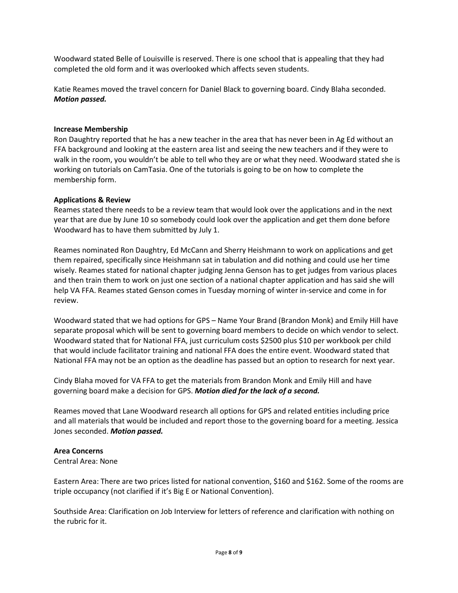Woodward stated Belle of Louisville is reserved. There is one school that is appealing that they had completed the old form and it was overlooked which affects seven students.

Katie Reames moved the travel concern for Daniel Black to governing board. Cindy Blaha seconded. *Motion passed.*

# **Increase Membership**

Ron Daughtry reported that he has a new teacher in the area that has never been in Ag Ed without an FFA background and looking at the eastern area list and seeing the new teachers and if they were to walk in the room, you wouldn't be able to tell who they are or what they need. Woodward stated she is working on tutorials on CamTasia. One of the tutorials is going to be on how to complete the membership form.

#### **Applications & Review**

Reames stated there needs to be a review team that would look over the applications and in the next year that are due by June 10 so somebody could look over the application and get them done before Woodward has to have them submitted by July 1.

Reames nominated Ron Daughtry, Ed McCann and Sherry Heishmann to work on applications and get them repaired, specifically since Heishmann sat in tabulation and did nothing and could use her time wisely. Reames stated for national chapter judging Jenna Genson has to get judges from various places and then train them to work on just one section of a national chapter application and has said she will help VA FFA. Reames stated Genson comes in Tuesday morning of winter in-service and come in for review.

Woodward stated that we had options for GPS – Name Your Brand (Brandon Monk) and Emily Hill have separate proposal which will be sent to governing board members to decide on which vendor to select. Woodward stated that for National FFA, just curriculum costs \$2500 plus \$10 per workbook per child that would include facilitator training and national FFA does the entire event. Woodward stated that National FFA may not be an option as the deadline has passed but an option to research for next year.

Cindy Blaha moved for VA FFA to get the materials from Brandon Monk and Emily Hill and have governing board make a decision for GPS. *Motion died for the lack of a second.*

Reames moved that Lane Woodward research all options for GPS and related entities including price and all materials that would be included and report those to the governing board for a meeting. Jessica Jones seconded. *Motion passed.*

# **Area Concerns**

Central Area: None

Eastern Area: There are two prices listed for national convention, \$160 and \$162. Some of the rooms are triple occupancy (not clarified if it's Big E or National Convention).

Southside Area: Clarification on Job Interview for letters of reference and clarification with nothing on the rubric for it.